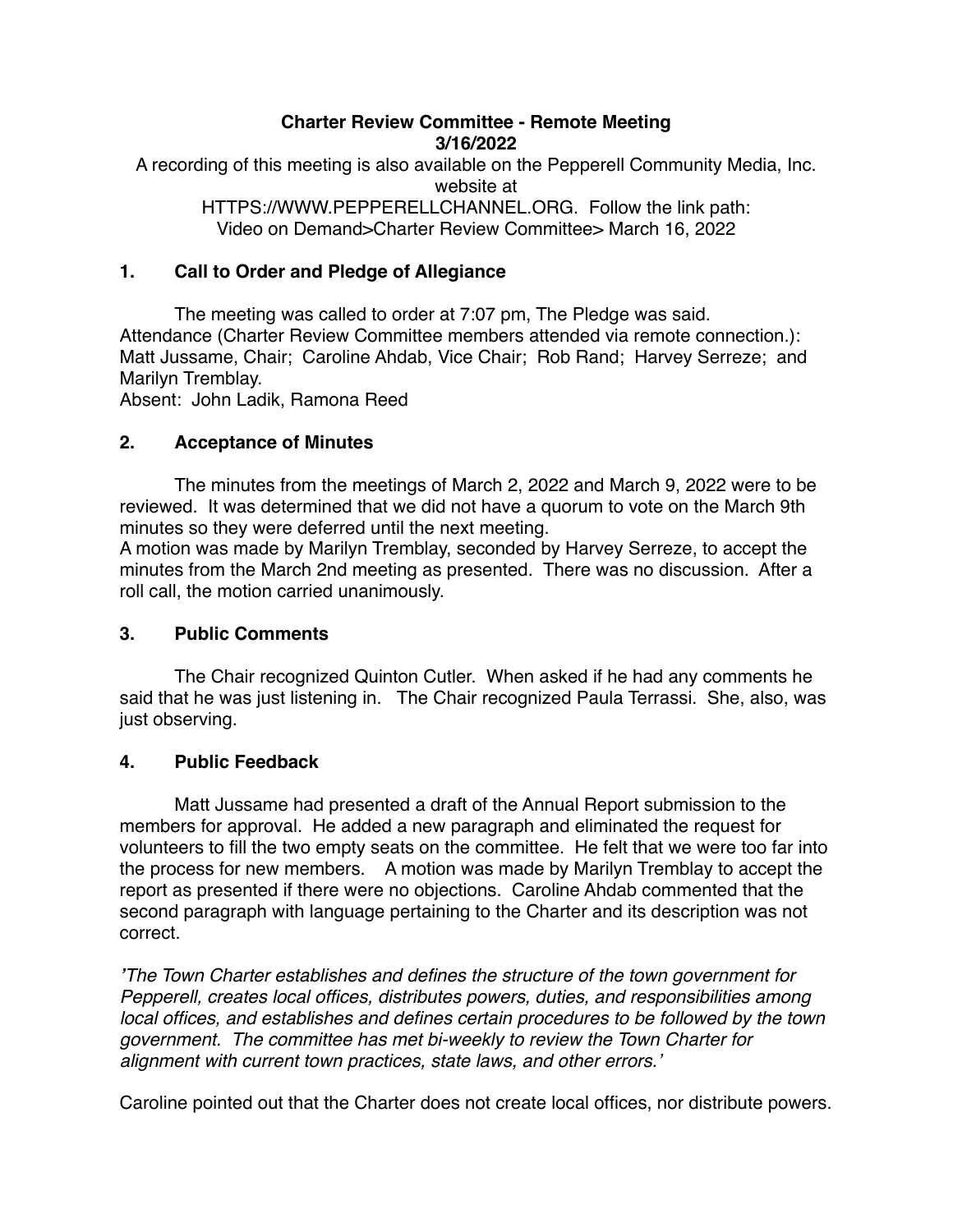#### **Charter Review Committee - Remote Meeting 3/16/2022**

A recording of this meeting is also available on the Pepperell Community Media, Inc. website at HTTPS://WWW.PEPPERELLCHANNEL.ORG. Follow the link path:

Video on Demand>Charter Review Committee> March 16, 2022

## **1. Call to Order and Pledge of Allegiance**

The meeting was called to order at 7:07 pm, The Pledge was said. Attendance (Charter Review Committee members attended via remote connection.): Matt Jussame, Chair; Caroline Ahdab, Vice Chair; Rob Rand; Harvey Serreze; and Marilyn Tremblay.

Absent: John Ladik, Ramona Reed

### **2. Acceptance of Minutes**

The minutes from the meetings of March 2, 2022 and March 9, 2022 were to be reviewed. It was determined that we did not have a quorum to vote on the March 9th minutes so they were deferred until the next meeting.

A motion was made by Marilyn Tremblay, seconded by Harvey Serreze, to accept the minutes from the March 2nd meeting as presented. There was no discussion. After a roll call, the motion carried unanimously.

#### **3. Public Comments**

The Chair recognized Quinton Cutler. When asked if he had any comments he said that he was just listening in. The Chair recognized Paula Terrassi. She, also, was just observing.

#### **4. Public Feedback**

Matt Jussame had presented a draft of the Annual Report submission to the members for approval. He added a new paragraph and eliminated the request for volunteers to fill the two empty seats on the committee. He felt that we were too far into the process for new members. A motion was made by Marilyn Tremblay to accept the report as presented if there were no objections. Caroline Ahdab commented that the second paragraph with language pertaining to the Charter and its description was not correct.

*'The Town Charter establishes and defines the structure of the town government for Pepperell, creates local offices, distributes powers, duties, and responsibilities among local offices, and establishes and defines certain procedures to be followed by the town government. The committee has met bi-weekly to review the Town Charter for alignment with current town practices, state laws, and other errors.'*

Caroline pointed out that the Charter does not create local offices, nor distribute powers.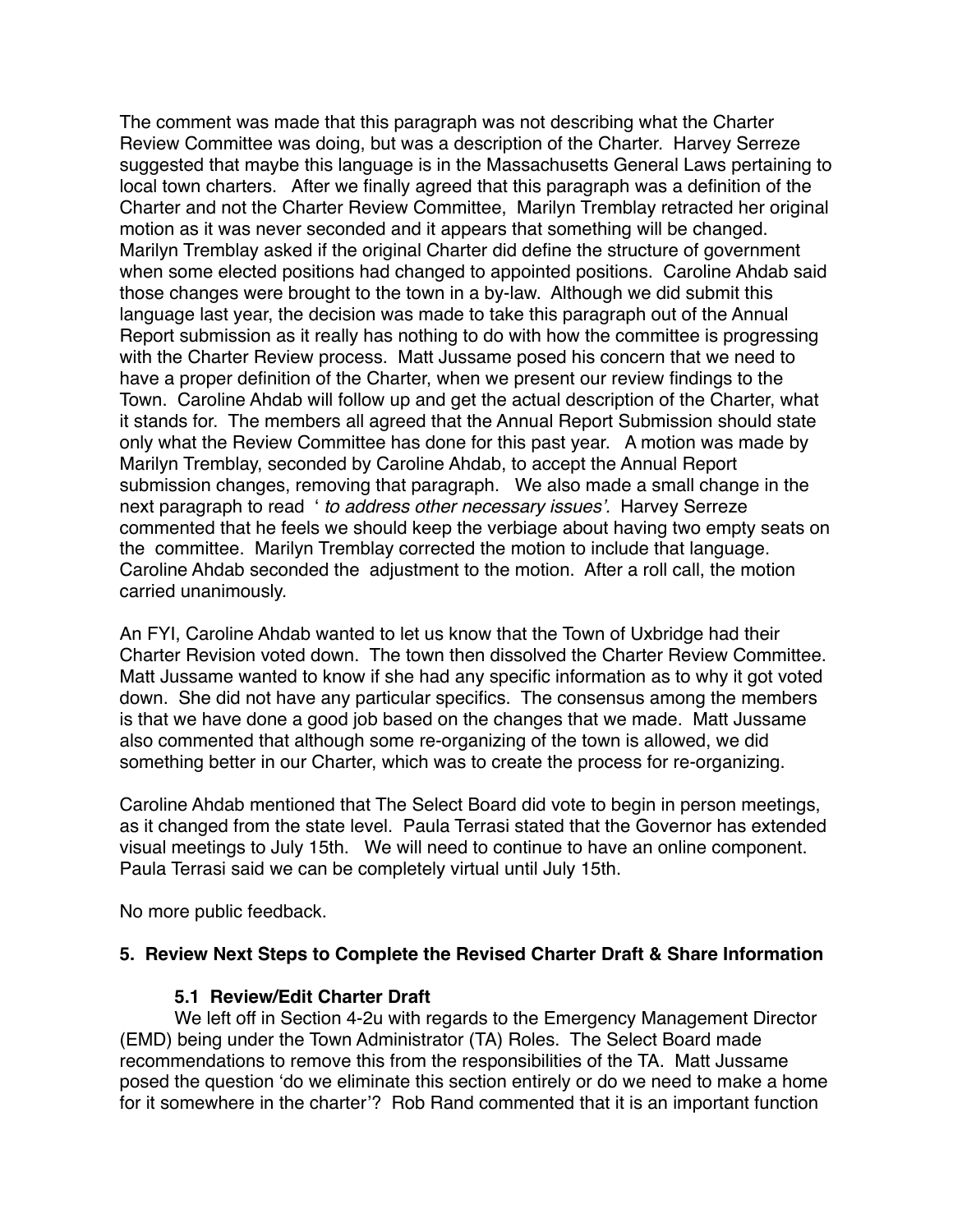The comment was made that this paragraph was not describing what the Charter Review Committee was doing, but was a description of the Charter. Harvey Serreze suggested that maybe this language is in the Massachusetts General Laws pertaining to local town charters. After we finally agreed that this paragraph was a definition of the Charter and not the Charter Review Committee, Marilyn Tremblay retracted her original motion as it was never seconded and it appears that something will be changed. Marilyn Tremblay asked if the original Charter did define the structure of government when some elected positions had changed to appointed positions. Caroline Ahdab said those changes were brought to the town in a by-law. Although we did submit this language last year, the decision was made to take this paragraph out of the Annual Report submission as it really has nothing to do with how the committee is progressing with the Charter Review process. Matt Jussame posed his concern that we need to have a proper definition of the Charter, when we present our review findings to the Town. Caroline Ahdab will follow up and get the actual description of the Charter, what it stands for. The members all agreed that the Annual Report Submission should state only what the Review Committee has done for this past year. A motion was made by Marilyn Tremblay, seconded by Caroline Ahdab, to accept the Annual Report submission changes, removing that paragraph. We also made a small change in the next paragraph to read ' *to address other necessary issues'.* Harvey Serreze commented that he feels we should keep the verbiage about having two empty seats on the committee. Marilyn Tremblay corrected the motion to include that language. Caroline Ahdab seconded the adjustment to the motion. After a roll call, the motion carried unanimously.

An FYI, Caroline Ahdab wanted to let us know that the Town of Uxbridge had their Charter Revision voted down. The town then dissolved the Charter Review Committee. Matt Jussame wanted to know if she had any specific information as to why it got voted down. She did not have any particular specifics. The consensus among the members is that we have done a good job based on the changes that we made. Matt Jussame also commented that although some re-organizing of the town is allowed, we did something better in our Charter, which was to create the process for re-organizing.

Caroline Ahdab mentioned that The Select Board did vote to begin in person meetings, as it changed from the state level. Paula Terrasi stated that the Governor has extended visual meetings to July 15th. We will need to continue to have an online component. Paula Terrasi said we can be completely virtual until July 15th.

No more public feedback.

#### **5. Review Next Steps to Complete the Revised Charter Draft & Share Information**

#### **5.1 Review/Edit Charter Draft**

We left off in Section 4-2u with regards to the Emergency Management Director (EMD) being under the Town Administrator (TA) Roles. The Select Board made recommendations to remove this from the responsibilities of the TA. Matt Jussame posed the question 'do we eliminate this section entirely or do we need to make a home for it somewhere in the charter'? Rob Rand commented that it is an important function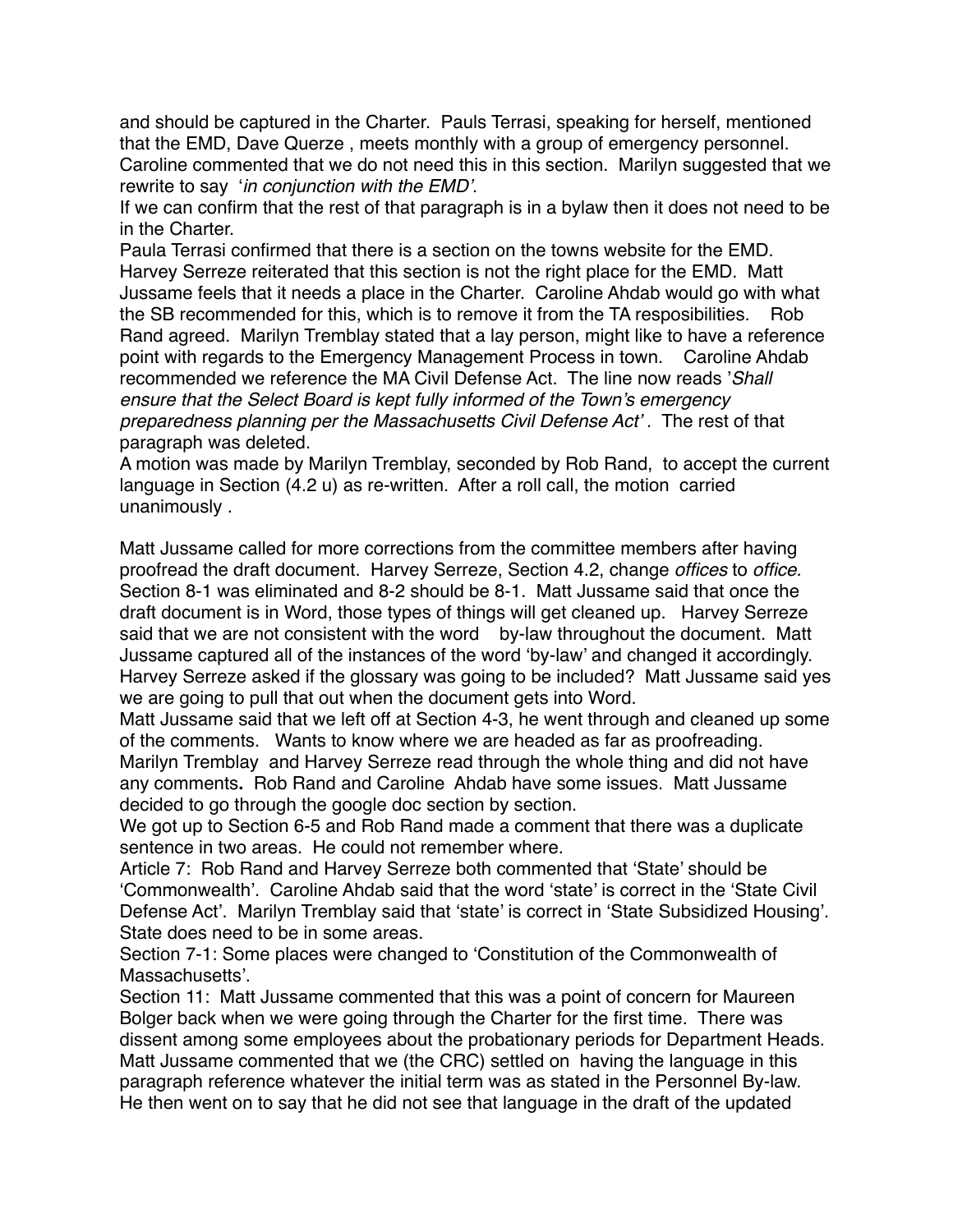and should be captured in the Charter. Pauls Terrasi, speaking for herself, mentioned that the EMD, Dave Querze , meets monthly with a group of emergency personnel. Caroline commented that we do not need this in this section. Marilyn suggested that we rewrite to say '*in conjunction with the EMD'.*

If we can confirm that the rest of that paragraph is in a bylaw then it does not need to be in the Charter.

Paula Terrasi confirmed that there is a section on the towns website for the EMD. Harvey Serreze reiterated that this section is not the right place for the EMD. Matt Jussame feels that it needs a place in the Charter. Caroline Ahdab would go with what the SB recommended for this, which is to remove it from the TA resposibilities. Rob Rand agreed. Marilyn Tremblay stated that a lay person, might like to have a reference point with regards to the Emergency Management Process in town. Caroline Ahdab recommended we reference the MA Civil Defense Act. The line now reads '*Shall ensure that the Select Board is kept fully informed of the Town's emergency preparedness planning per the Massachusetts Civil Defense Act' .* The rest of that paragraph was deleted.

A motion was made by Marilyn Tremblay, seconded by Rob Rand, to accept the current language in Section (4.2 u) as re-written. After a roll call, the motion carried unanimously .

Matt Jussame called for more corrections from the committee members after having proofread the draft document. Harvey Serreze, Section 4.2, change *offices* to *office.* Section 8-1 was eliminated and 8-2 should be 8-1. Matt Jussame said that once the draft document is in Word, those types of things will get cleaned up. Harvey Serreze said that we are not consistent with the word by-law throughout the document. Matt Jussame captured all of the instances of the word 'by-law' and changed it accordingly. Harvey Serreze asked if the glossary was going to be included? Matt Jussame said yes we are going to pull that out when the document gets into Word.

Matt Jussame said that we left off at Section 4-3, he went through and cleaned up some of the comments. Wants to know where we are headed as far as proofreading. Marilyn Tremblay and Harvey Serreze read through the whole thing and did not have any comments**.** Rob Rand and Caroline Ahdab have some issues.Matt Jussame decided to go through the google doc section by section.

We got up to Section 6-5 and Rob Rand made a comment that there was a duplicate sentence in two areas. He could not remember where.

Article 7: Rob Rand and Harvey Serreze both commented that 'State' should be 'Commonwealth'. Caroline Ahdab said that the word 'state' is correct in the 'State Civil Defense Act'. Marilyn Tremblay said that 'state' is correct in 'State Subsidized Housing'. State does need to be in some areas.

Section 7-1: Some places were changed to 'Constitution of the Commonwealth of Massachusetts'.

Section 11: Matt Jussame commented that this was a point of concern for Maureen Bolger back when we were going through the Charter for the first time. There was dissent among some employees about the probationary periods for Department Heads. Matt Jussame commented that we (the CRC) settled on having the language in this paragraph reference whatever the initial term was as stated in the Personnel By-law. He then went on to say that he did not see that language in the draft of the updated